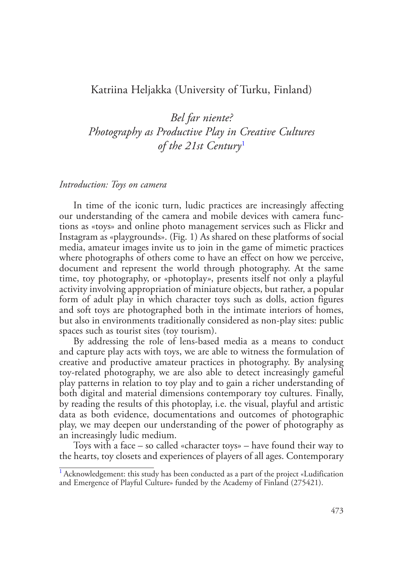Katriina Heljakka (University of Turku, Finland)

<span id="page-0-1"></span>*Bel far niente? Photography as Productive Play in Creative Cultures of the 21st Century*[1](#page-0-0)

## *Introduction: Toys on camera*

In time of the iconic turn, ludic practices are increasingly affecting our understanding of the camera and mobile devices with camera functions as «toys» and online photo management services such as Flickr and Instagram as «playgrounds». (Fig. 1) As shared on these platforms of social media, amateur images invite us to join in the game of mimetic practices where photographs of others come to have an effect on how we perceive, document and represent the world through photography. At the same time, toy photography, or «photoplay*»*, presents itself not only a playful activity involving appropriation of miniature objects, but rather, a popular form of adult play in which character toys such as dolls, action figures and soft toys are photographed both in the intimate interiors of homes, but also in environments traditionally considered as non-play sites: public spaces such as tourist sites (toy tourism).

By addressing the role of lens-based media as a means to conduct and capture play acts with toys, we are able to witness the formulation of creative and productive amateur practices in photography. By analysing toy-related photography, we are also able to detect increasingly gameful play patterns in relation to toy play and to gain a richer understanding of both digital and material dimensions contemporary toy cultures. Finally, by reading the results of this photoplay, i.e. the visual, playful and artistic data as both evidence, documentations and outcomes of photographic play, we may deepen our understanding of the power of photography as an increasingly ludic medium.

Toys with a face – so called «character toys» – have found their way to the hearts, toy closets and experiences of players of all ages. Contemporary

<span id="page-0-0"></span>[<sup>1</sup>](#page-0-1) Acknowledgement: this study has been conducted as a part of the project «Ludification and Emergence of Playful Culture» funded by the Academy of Finland (275421).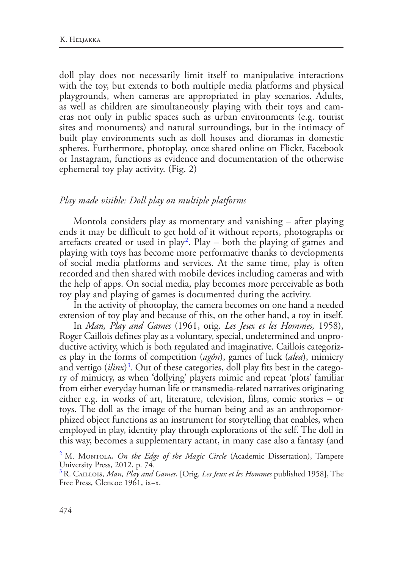doll play does not necessarily limit itself to manipulative interactions with the toy, but extends to both multiple media platforms and physical playgrounds, when cameras are appropriated in play scenarios. Adults, as well as children are simultaneously playing with their toys and cameras not only in public spaces such as urban environments (e.g. tourist sites and monuments) and natural surroundings, but in the intimacy of built play environments such as doll houses and dioramas in domestic spheres. Furthermore, photoplay, once shared online on Flickr, Facebook or Instagram, functions as evidence and documentation of the otherwise ephemeral toy play activity. (Fig. 2)

## *Play made visible: Doll play on multiple platforms*

<span id="page-1-2"></span>Montola considers play as momentary and vanishing – after playing ends it may be difficult to get hold of it without reports, photographs or artefacts created or used in play<sup>[2](#page-1-0)</sup>. Play – both the playing of games and playing with toys has become more performative thanks to developments of social media platforms and services. At the same time, play is often recorded and then shared with mobile devices including cameras and with the help of apps. On social media, play becomes more perceivable as both toy play and playing of games is documented during the activity.

In the activity of photoplay, the camera becomes on one hand a needed extension of toy play and because of this, on the other hand, a toy in itself.

<span id="page-1-3"></span>In *Man, Play and Games* (1961, orig. *Les Jeux et les Hommes,* 1958), Roger Caillois defines play as a voluntary, special, undetermined and unproductive activity, which is both regulated and imaginative. Caillois categorizes play in the forms of competition (*agôn*), games of luck (*alea*), mimicry and vertigo (*ilinx*)<sup>[3](#page-1-1)</sup>. Out of these categories, doll play fits best in the category of mimicry, as when 'dollying' players mimic and repeat 'plots' familiar from either everyday human life or transmedia-related narratives originating either e.g. in works of art, literature, television, films, comic stories – or toys. The doll as the image of the human being and as an anthropomorphized object functions as an instrument for storytelling that enables, when employed in play, identity play through explorations of the self. The doll in this way, becomes a supplementary actant, in many case also a fantasy (and

<span id="page-1-0"></span>[<sup>2</sup>](#page-1-2) M. Montola, *On the Edge of the Magic Circle* (Academic Dissertation), Tampere University Press, 2012, p. 74.

<span id="page-1-1"></span>[<sup>3</sup>](#page-1-3) R. Caillois, *Man, Play and Games*, [Orig. *Les Jeux et les Hommes* published 1958], The Free Press, Glencoe 1961, ix−x.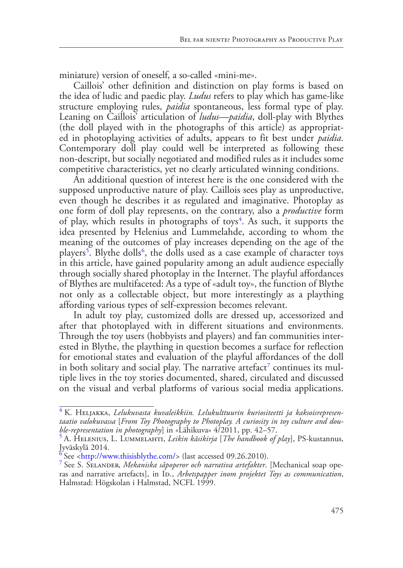miniature) version of oneself, a so-called «mini-me».

Caillois' other definition and distinction on play forms is based on the idea of ludic and paedic play. *Ludus* refers to play which has game-like structure employing rules, *paidia* spontaneous, less formal type of play. Leaning on Caillois' articulation of *ludus—paidia*, doll-play with Blythes (the doll played with in the photographs of this article) as appropriated in photoplaying activities of adults, appears to fit best under *paidia*. Contemporary doll play could well be interpreted as following these non-descript, but socially negotiated and modified rules as it includes some competitive characteristics, yet no clearly articulated winning conditions.

<span id="page-2-4"></span>An additional question of interest here is the one considered with the supposed unproductive nature of play. Caillois sees play as unproductive, even though he describes it as regulated and imaginative. Photoplay as one form of doll play represents, on the contrary, also a *productive* form of play, which results in photographs of toys<sup>[4](#page-2-0)</sup>. As such, it supports the idea presented by Helenius and Lummelahde, according to whom the meaning of the outcomes of play increases depending on the age of the players<sup>[5](#page-2-1)</sup>. Blythe dolls<sup>[6](#page-2-2)</sup>, the dolls used as a case example of character toys in this article, have gained popularity among an adult audience especially through socially shared photoplay in the Internet. The playful affordances of Blythes are multifaceted: As a type of «adult toy», the function of Blythe not only as a collectable object, but more interestingly as a plaything affording various types of self-expression becomes relevant.

<span id="page-2-6"></span><span id="page-2-5"></span>In adult toy play, customized dolls are dressed up, accessorized and after that photoplayed with in different situations and environments. Through the toy users (hobbyists and players) and fan communities interested in Blythe, the plaything in question becomes a surface for reflection for emotional states and evaluation of the playful affordances of the doll in both solitary and social play. The narrative artefact $^7$  $^7$  continues its multiple lives in the toy stories documented, shared, circulated and discussed on the visual and verbal platforms of various social media applications.

<span id="page-2-7"></span><span id="page-2-0"></span>[<sup>4</sup>](#page-2-4) K. Heljakka, *Lelukuvasta kuvaleikkiin. Lelukulttuurin kuriositeetti ja kaksoisrepresentaatio valokuvassa* [*From Toy Photography to Photoplay. A curiosity in toy culture and dou-*

<span id="page-2-1"></span><sup>&</sup>lt;sup>[5](#page-2-5)</sup> A. HELENIUS, L. LUMMELAHTI, *Leikin käsikirja* [*The handbook of play*], PS-kustannus, Jyväskylä 2014.

<span id="page-2-2"></span>See <http://www.thisisblythe.com/> (last accessed 09.2[6](#page-2-6).2010).

<span id="page-2-3"></span>[<sup>7</sup>](#page-2-7) See S. Selander, *Mekaniska såpoperor och narrativa artefakter*. [Mechanical soap operas and narrative artefacts], in ID., *Arbetspapper inom projektet Toys as communication*, Halmstad: Högskolan i Halmstad, NCFL 1999.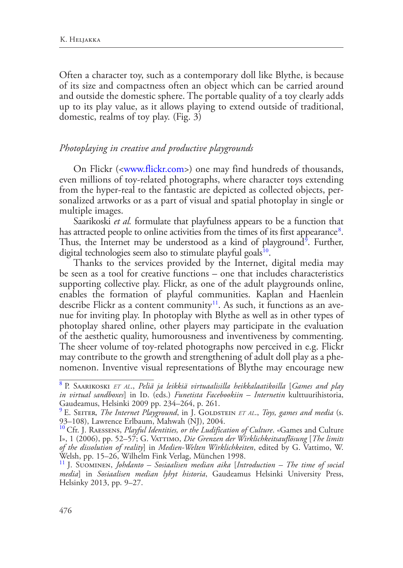Often a character toy, such as a contemporary doll like Blythe, is because of its size and compactness often an object which can be carried around and outside the domestic sphere. The portable quality of a toy clearly adds up to its play value, as it allows playing to extend outside of traditional, domestic, realms of toy play. (Fig. 3)

## *Photoplaying in creative and productive playgrounds*

On Flickr (<[www.flickr.com](http://www.flickr.com)>) one may find hundreds of thousands, even millions of toy-related photographs, where character toys extending from the hyper-real to the fantastic are depicted as collected objects, personalized artworks or as a part of visual and spatial photoplay in single or multiple images.

<span id="page-3-5"></span><span id="page-3-4"></span>Saarikoski *et al.* formulate that playfulness appears to be a function that has attracted people to online activities from the times of its first appearance[8](#page-3-0) . Thus, the Internet may be understood as a kind of playground<sup>[9](#page-3-1)</sup>. Further, digital technologies seem also to stimulate playful goals $10$ .

<span id="page-3-7"></span><span id="page-3-6"></span>Thanks to the services provided by the Internet, digital media may be seen as a tool for creative functions – one that includes characteristics supporting collective play. Flickr, as one of the adult playgrounds online, enables the formation of playful communities. Kaplan and Haenlein describe Flickr as a content community<sup>[11](#page-3-3)</sup>. As such, it functions as an avenue for inviting play. In photoplay with Blythe as well as in other types of photoplay shared online, other players may participate in the evaluation of the aesthetic quality, humorousness and inventiveness by commenting. The sheer volume of toy-related photographs now perceived in e.g. Flickr may contribute to the growth and strengthening of adult doll play as a phenomenon. Inventive visual representations of Blythe may encourage new

<span id="page-3-0"></span>[<sup>8</sup>](#page-3-4) P. Saarikoski *et al*., *Peliä ja leikkiä virtuaalisilla heikkalaatikoilla* [*Games and play in virtual sandboxes*] in ID. (eds.) *Funetista Facebookiin – Internetin* kulttuurihistoria, Gaudeamus, Helsinki 2009 pp. 234–264, p. 261.

<span id="page-3-1"></span><sup>&</sup>lt;sup>[9](#page-3-5)</sup> E. SEITER, *The Internet Playground*, in J. GOLDSTEIN *ET AL.*, *Toys, games and media* (s. 93–108), Lawrence Erlbaum, Mahwah (NJ), 2004.

<span id="page-3-2"></span>[<sup>10</sup>](#page-3-6) Cfr. J. Raessens, *Playful Identities, or the Ludification of Culture*. «Games and Culture I», 1 (2006), pp. 52–57; G. Varrimo, *Die Grenzen der Wirklichkeitsauflösung* [The limits *of the dissolution of reality*] in *Medien-Welten Wirklichkeiten*, edited by G. Vattimo, W. Welsh, pp. 15–26, Wilhelm Fink Verlag, München 1998.

<span id="page-3-3"></span>[<sup>11</sup>](#page-3-7) J. Suominen, *Johdanto – Sosiaalisen median aika* [*Introduction – The time of social media*] in *Sosiaalisen median lyhyt historia*, Gaudeamus Helsinki University Press, Helsinky 2013, pp. 9–27.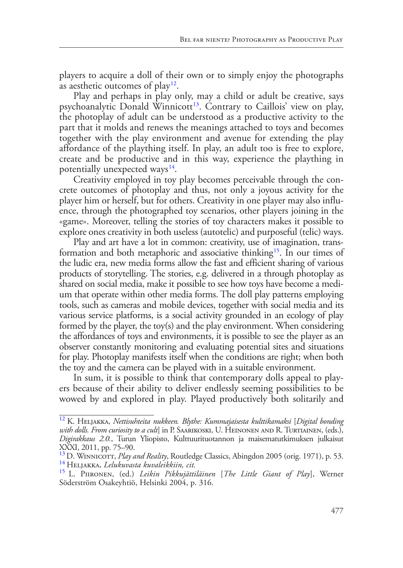<span id="page-4-4"></span>players to acquire a doll of their own or to simply enjoy the photographs as aesthetic outcomes of  $play<sup>12</sup>$  $play<sup>12</sup>$  $play<sup>12</sup>$ .

<span id="page-4-5"></span>Play and perhaps in play only, may a child or adult be creative, says psychoanalytic Donald Winnicott<sup>[13](#page-4-1)</sup>. Contrary to Caillois' view on play, the photoplay of adult can be understood as a productive activity to the part that it molds and renews the meanings attached to toys and becomes together with the play environment and avenue for extending the play affordance of the plaything itself. In play, an adult too is free to explore, create and be productive and in this way, experience the plaything in potentially unexpected ways<sup>14</sup>.

<span id="page-4-6"></span>Creativity employed in toy play becomes perceivable through the concrete outcomes of photoplay and thus, not only a joyous activity for the player him or herself, but for others. Creativity in one player may also influence, through the photographed toy scenarios, other players joining in the «game». Moreover, telling the stories of toy characters makes it possible to explore ones creativity in both useless (autotelic) and purposeful (telic) ways.

<span id="page-4-7"></span>Play and art have a lot in common: creativity, use of imagination, transformation and both metaphoric and associative thinking<sup>15</sup>. In our times of the ludic era, new media forms allow the fast and efficient sharing of various products of storytelling. The stories, e.g. delivered in a through photoplay as shared on social media, make it possible to see how toys have become a medium that operate within other media forms. The doll play patterns employing tools, such as cameras and mobile devices, together with social media and its various service platforms, is a social activity grounded in an ecology of play formed by the player, the toy(s) and the play environment. When considering the affordances of toys and environments, it is possible to see the player as an observer constantly monitoring and evaluating potential sites and situations for play. Photoplay manifests itself when the conditions are right; when both the toy and the camera can be played with in a suitable environment.

In sum, it is possible to think that contemporary dolls appeal to players because of their ability to deliver endlessly seeming possibilities to be wowed by and explored in play. Played productively both solitarily and

<span id="page-4-0"></span>[<sup>12</sup>](#page-4-4) K. Heljakka, *Nettisuhteita nukkeen. Blythe: Kummajaisesta kulttikamaksi* [*Digital bonding with dolls. From curiosity to a cult*] in P. SAARIKOSKI, U. HEINONEN AND R. TURTIAINEN, (eds.), *Digirakkaus 2.0.*, Turun Yliopisto, Kulttuurituotannon ja maisematutkimuksen julkaisut XXXI, 2011, pp. 75–90.

<span id="page-4-2"></span><span id="page-4-1"></span>[<sup>13</sup>](#page-4-5) D. Winnicott, *Play and Reality*, Routledge Classics, Abingdon 2005 (orig. 1971), p. 53. [14](#page-4-6) Heljakka, *Lelukuvasta kuvaleikkiin, cit.*

<span id="page-4-3"></span>[<sup>15</sup>](#page-4-7) L. Piironen, (ed.) *Leikin Pikkujättiläinen* [*The Little Giant of Play*], Werner Söderström Osakeyhtiö, Helsinki 2004, p. 316.